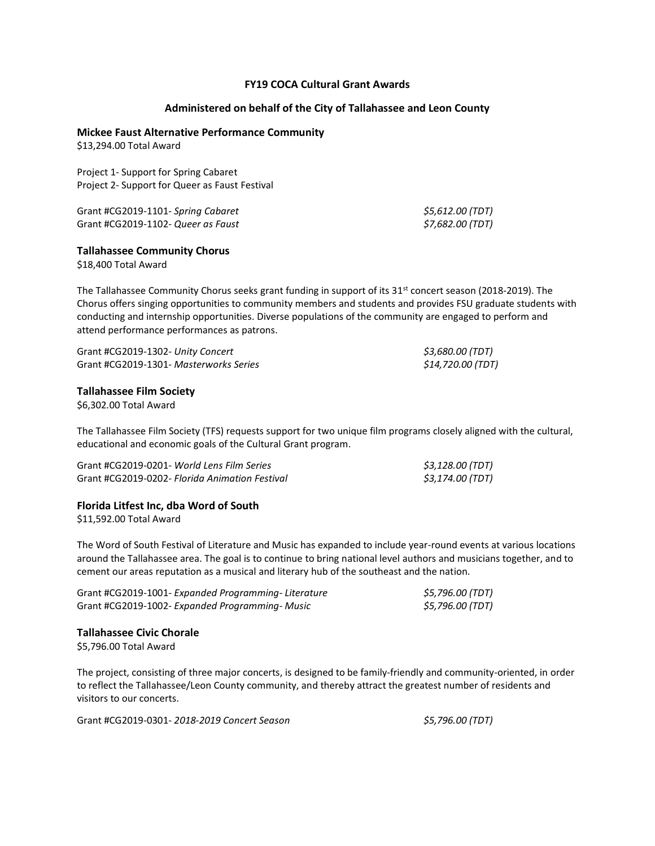### **FY19 COCA Cultural Grant Awards**

### **Administered on behalf of the City of Tallahassee and Leon County**

#### **Mickee Faust Alternative Performance Community**

\$13,294.00 Total Award

Project 1- Support for Spring Cabaret Project 2- Support for Queer as Faust Festival

Grant #CG2019-1101- *Spring Cabaret \$5,612.00 (TDT)* Grant #CG2019-1102*- Queer as Faust \$7,682.00 (TDT)*

#### **Tallahassee Community Chorus**

\$18,400 Total Award

The Tallahassee Community Chorus seeks grant funding in support of its 31<sup>st</sup> concert season (2018-2019). The Chorus offers singing opportunities to community members and students and provides FSU graduate students with conducting and internship opportunities. Diverse populations of the community are engaged to perform and attend performance performances as patrons.

Grant #CG2019-1302*- Unity Concert \$3,680.00 (TDT)* Grant #CG2019-1301*- Masterworks Series \$14,720.00 (TDT)*

#### **Tallahassee Film Society**

\$6,302.00 Total Award

The Tallahassee Film Society (TFS) requests support for two unique film programs closely aligned with the cultural, educational and economic goals of the Cultural Grant program.

| Grant #CG2019-0201- World Lens Film Series     | \$3,128.00 (TDT) |
|------------------------------------------------|------------------|
| Grant #CG2019-0202- Florida Animation Festival | \$3,174.00 (TDT) |

#### **Florida Litfest Inc, dba Word of South**

\$11,592.00 Total Award

The Word of South Festival of Literature and Music has expanded to include year-round events at various locations around the Tallahassee area. The goal is to continue to bring national level authors and musicians together, and to cement our areas reputation as a musical and literary hub of the southeast and the nation.

| Grant #CG2019-1001- Expanded Programming-Literature | <i>\$5,796.00 (TDT)</i> |
|-----------------------------------------------------|-------------------------|
| Grant #CG2019-1002- Expanded Programming- Music     | <i>\$5,796.00 (TDT)</i> |

#### **Tallahassee Civic Chorale**

\$5,796.00 Total Award

The project, consisting of three major concerts, is designed to be family-friendly and community-oriented, in order to reflect the Tallahassee/Leon County community, and thereby attract the greatest number of residents and visitors to our concerts.

Grant #CG2019-0301*- 2018-2019 Concert Season \$5,796.00 (TDT)*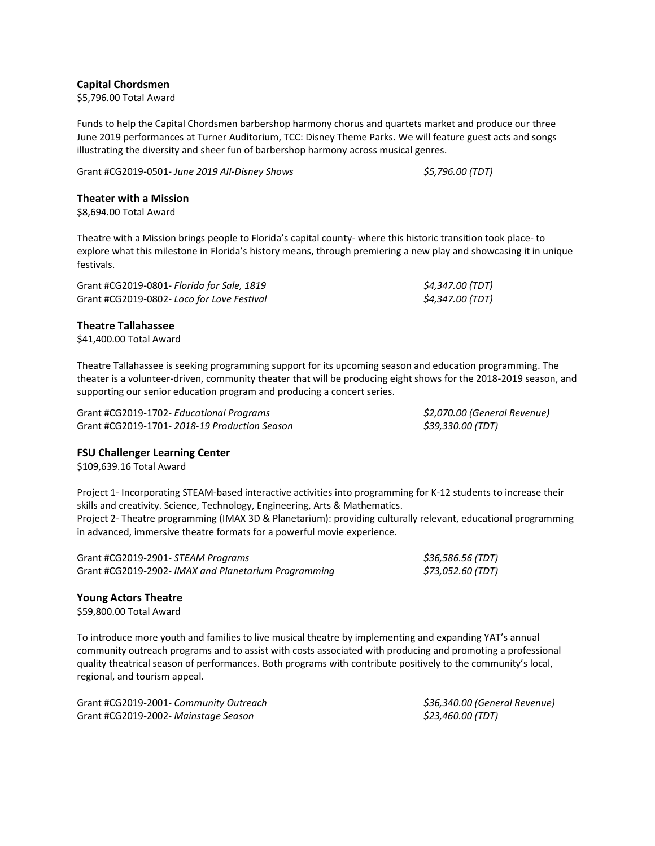# **Capital Chordsmen**

\$5,796.00 Total Award

Funds to help the Capital Chordsmen barbershop harmony chorus and quartets market and produce our three June 2019 performances at Turner Auditorium, TCC: Disney Theme Parks. We will feature guest acts and songs illustrating the diversity and sheer fun of barbershop harmony across musical genres.

Grant #CG2019-0501*- June 2019 All-Disney Shows \$5,796.00 (TDT)*

# **Theater with a Mission**

\$8,694.00 Total Award

Theatre with a Mission brings people to Florida's capital county- where this historic transition took place- to explore what this milestone in Florida's history means, through premiering a new play and showcasing it in unique festivals.

| Grant #CG2019-0801- Florida for Sale, 1819 | \$4,347.00 (TDT) |
|--------------------------------------------|------------------|
| Grant #CG2019-0802- Loco for Love Festival | \$4,347.00 (TDT) |

## **Theatre Tallahassee**

\$41,400.00 Total Award

Theatre Tallahassee is seeking programming support for its upcoming season and education programming. The theater is a volunteer-driven, community theater that will be producing eight shows for the 2018-2019 season, and supporting our senior education program and producing a concert series.

Grant #CG2019-1702*- Educational Programs \$2,070.00 (General Revenue)* Grant #CG2019-1701*- 2018-19 Production Season \$39,330.00 (TDT)*

## **FSU Challenger Learning Center**

\$109,639.16 Total Award

Project 1- Incorporating STEAM-based interactive activities into programming for K-12 students to increase their skills and creativity. Science, Technology, Engineering, Arts & Mathematics. Project 2- Theatre programming (IMAX 3D & Planetarium): providing culturally relevant, educational programming

in advanced, immersive theatre formats for a powerful movie experience.

Grant #CG2019-2901*- STEAM Programs \$36,586.56 (TDT)* Grant #CG2019-2902*- IMAX and Planetarium Programming \$73,052.60 (TDT)*

## **Young Actors Theatre**

\$59,800.00 Total Award

To introduce more youth and families to live musical theatre by implementing and expanding YAT's annual community outreach programs and to assist with costs associated with producing and promoting a professional quality theatrical season of performances. Both programs with contribute positively to the community's local, regional, and tourism appeal.

Grant #CG2019-2001*- Community Outreach \$36,340.00 (General Revenue)* Grant #CG2019-2002*- Mainstage Season \$23,460.00 (TDT)*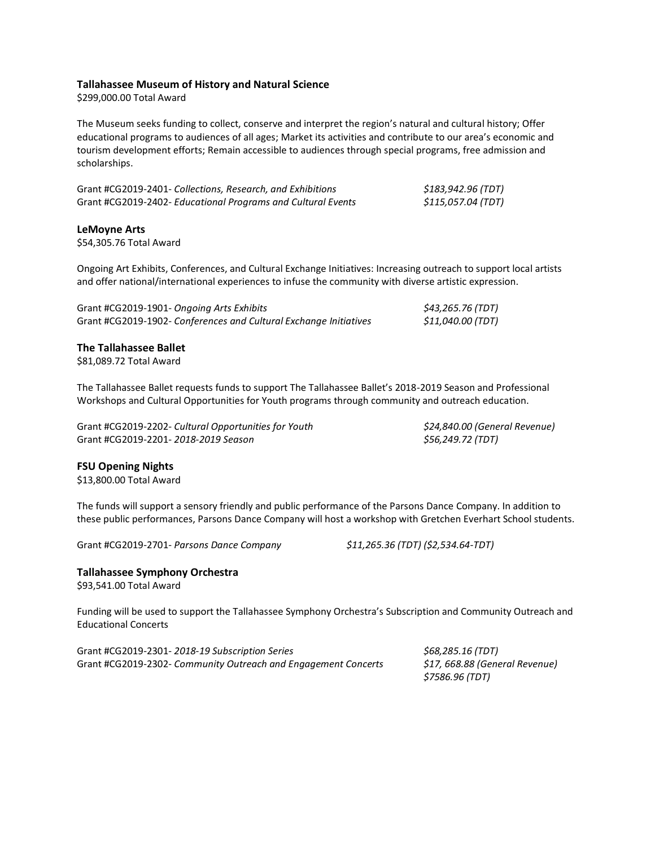### **Tallahassee Museum of History and Natural Science**

\$299,000.00 Total Award

The Museum seeks funding to collect, conserve and interpret the region's natural and cultural history; Offer educational programs to audiences of all ages; Market its activities and contribute to our area's economic and tourism development efforts; Remain accessible to audiences through special programs, free admission and scholarships.

| Grant #CG2019-2401- Collections, Research, and Exhibitions   | \$183,942.96 (TDT) |
|--------------------------------------------------------------|--------------------|
| Grant #CG2019-2402- Educational Programs and Cultural Events | \$115,057.04 (TDT) |

### **LeMoyne Arts**

\$54,305.76 Total Award

Ongoing Art Exhibits, Conferences, and Cultural Exchange Initiatives: Increasing outreach to support local artists and offer national/international experiences to infuse the community with diverse artistic expression.

| Grant #CG2019-1901- Ongoing Arts Exhibits                         | \$43,265.76 (TDT) |
|-------------------------------------------------------------------|-------------------|
| Grant #CG2019-1902- Conferences and Cultural Exchange Initiatives | \$11,040.00 (TDT) |

### **The Tallahassee Ballet**

\$81,089.72 Total Award

The Tallahassee Ballet requests funds to support The Tallahassee Ballet's 2018-2019 Season and Professional Workshops and Cultural Opportunities for Youth programs through community and outreach education.

Grant #CG2019-2202*- Cultural Opportunities for Youth \$24,840.00 (General Revenue)* Grant #CG2019-2201*- 2018-2019 Season \$56,249.72 (TDT)*

## **FSU Opening Nights**

\$13,800.00 Total Award

The funds will support a sensory friendly and public performance of the Parsons Dance Company. In addition to these public performances, Parsons Dance Company will host a workshop with Gretchen Everhart School students.

Grant #CG2019-2701- *Parsons Dance Company \$11,265.36 (TDT) (\$2,534.64-TDT)*

## **Tallahassee Symphony Orchestra**

\$93,541.00 Total Award

Funding will be used to support the Tallahassee Symphony Orchestra's Subscription and Community Outreach and Educational Concerts

Grant #CG2019-2301- *2018-19 Subscription Series \$68,285.16 (TDT)* Grant #CG2019-2302- *Community Outreach and Engagement Concerts \$17, 668.88 (General Revenue)*

*\$7586.96 (TDT)*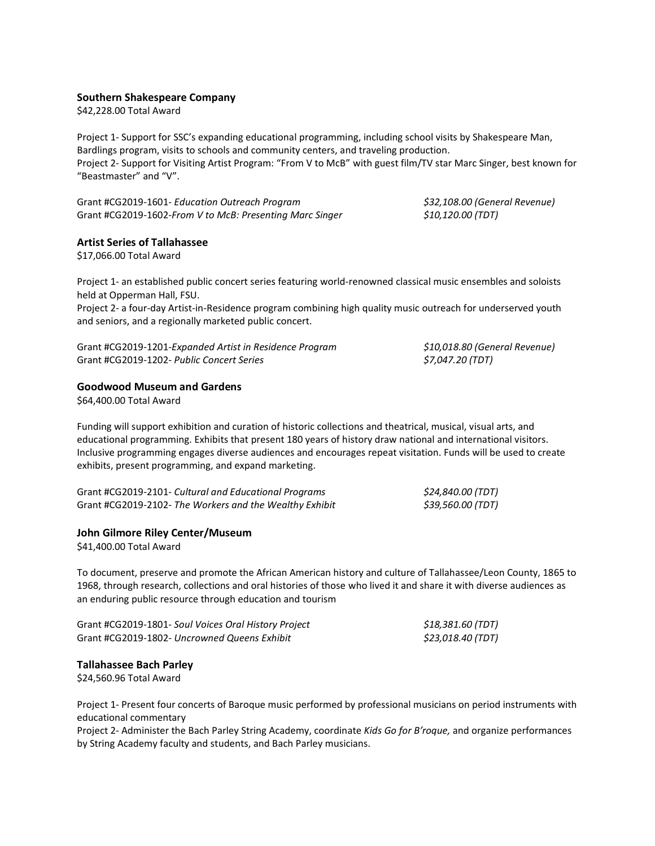## **Southern Shakespeare Company**

\$42,228.00 Total Award

Project 1- Support for SSC's expanding educational programming, including school visits by Shakespeare Man, Bardlings program, visits to schools and community centers, and traveling production. Project 2- Support for Visiting Artist Program: "From V to McB" with guest film/TV star Marc Singer, best known for "Beastmaster" and "V".

Grant #CG2019-1601*- Education Outreach Program \$32,108.00 (General Revenue)* Grant #CG2019-1602*-From V to McB: Presenting Marc Singer \$10,120.00 (TDT)*

### **Artist Series of Tallahassee**

\$17,066.00 Total Award

Project 1- an established public concert series featuring world-renowned classical music ensembles and soloists held at Opperman Hall, FSU.

Project 2- a four-day Artist-in-Residence program combining high quality music outreach for underserved youth and seniors, and a regionally marketed public concert.

| Grant #CG2019-1201-Expanded Artist in Residence Program | \$10,018.80 (General Revenue) |
|---------------------------------------------------------|-------------------------------|
| Grant #CG2019-1202- Public Concert Series               | \$7,047.20 (TDT)              |

### **Goodwood Museum and Gardens**

\$64,400.00 Total Award

Funding will support exhibition and curation of historic collections and theatrical, musical, visual arts, and educational programming. Exhibits that present 180 years of history draw national and international visitors. Inclusive programming engages diverse audiences and encourages repeat visitation. Funds will be used to create exhibits, present programming, and expand marketing.

| Grant #CG2019-2101- Cultural and Educational Programs   | \$24,840.00 (TDT) |
|---------------------------------------------------------|-------------------|
| Grant #CG2019-2102- The Workers and the Wealthy Exhibit | \$39,560.00 (TDT) |

#### **John Gilmore Riley Center/Museum**

\$41,400.00 Total Award

To document, preserve and promote the African American history and culture of Tallahassee/Leon County, 1865 to 1968, through research, collections and oral histories of those who lived it and share it with diverse audiences as an enduring public resource through education and tourism

| Grant #CG2019-1801- Soul Voices Oral History Project | <i>\$18,381.60 (TDT)</i> |
|------------------------------------------------------|--------------------------|
| Grant #CG2019-1802- Uncrowned Queens Exhibit         | \$23,018.40 (TDT)        |

#### **Tallahassee Bach Parley**

\$24,560.96 Total Award

Project 1- Present four concerts of Baroque music performed by professional musicians on period instruments with educational commentary

Project 2- Administer the Bach Parley String Academy, coordinate *Kids Go for B'roque,* and organize performances by String Academy faculty and students, and Bach Parley musicians.